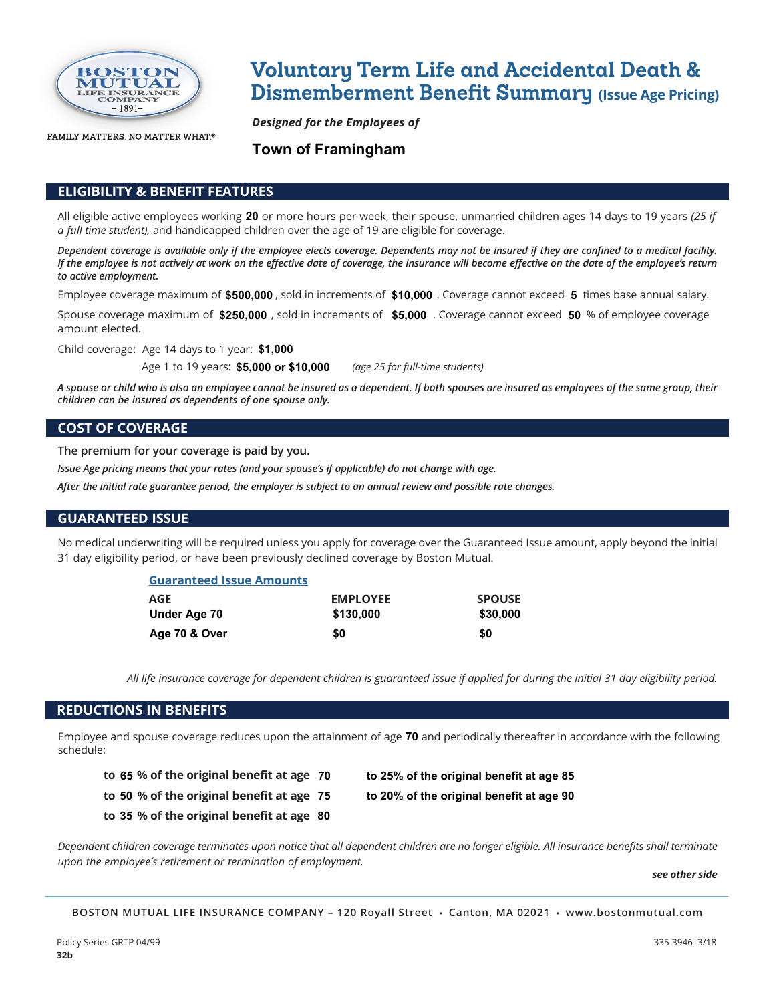

FAMILY MATTERS. NO MATTER WHAT.®

# **Voluntary Term Life and Accidental Death & Dismemberment Benefit Summary** (Issue Age Pricing)

*Designed for the Employees of*

## **Town of Framingham**

### **ELIGIBILITY & BENEFIT FEATURES**

All eligible active employees working **20** or more hours per week, their spouse, unmarried children ages 14 days to 19 years *(25 if a full time student),* and handicapped children over the age of 19 are eligible for coverage.

*Dependent coverage is available only if the employee elects coverage. Dependents may not be insured if they are confined to a medical facility. If the employee is not actively at work on the effective date of coverage, the insurance will become effective on the date of the employee's return to active employment.* 

Employee coverage maximum of \$500,000 , sold in increments of \$10,000 . Coverage cannot exceed 5 times base annual salary.

Spouse coverage maximum of  $$250,000$  , sold in increments of  $$5,000$  . Coverage cannot exceed  $50$  % of employee coverage amount elected.

Child coverage: Age 14 days to 1 year: **\$1,000**

Age 1 to 19 years: \$5,000 or \$10,000 (age 25 for full-time students)

*A spouse or child who is also an employee cannot be insured as a dependent. If both spouses are insured as employees of the same group, their children can be insured as dependents of one spouse only.*

#### **COST OF COVERAGE**

**The premium for your coverage is paid by you.**

*Issue Age pricing means that your rates (and your spouse's if applicable) do not change with age.*

*After the initial rate guarantee period, the employer is subject to an annual review and possible rate changes.*

#### **GUARANTEED ISSUE**

No medical underwriting will be required unless you apply for coverage over the Guaranteed Issue amount, apply beyond the initial 31 day eligibility period, or have been previously declined coverage by Boston Mutual.

| <b>Guaranteed Issue Amounts</b> |                 |               |
|---------------------------------|-----------------|---------------|
| AGE                             | <b>EMPLOYEE</b> | <b>SPOUSE</b> |
| Under Age 70                    | \$130,000       | \$30,000      |
| Age 70 & Over                   | \$0             | \$0           |

*All life insurance coverage for dependent children is guaranteed issue if applied for during the initial 31 day eligibility period.*

#### **REDUCTIONS IN BENEFITS**

Employee and spouse coverage reduces upon the attainment of ageand periodically thereafter in accordance with the following **70** schedule:

- **to % of the original benefit at age 65 70 to 25% of the original benefit at age 85**
- 
- 
- **to % of the original benefit at age 35 80**
- 
- **to % of the original benefit at age 50 75 to 20% of the original benefit at age 90**

*Dependent children coverage terminates upon notice that all dependent children are no longer eligible. All insurance benefits shall terminate upon the employee's retirement or termination of employment.*

 *see other side*

**BOSTON MUTUAL LIFE INSURANCE COMPANY – 120 Royall Street • Canton, MA 02021 • www.bostonmutual.com**